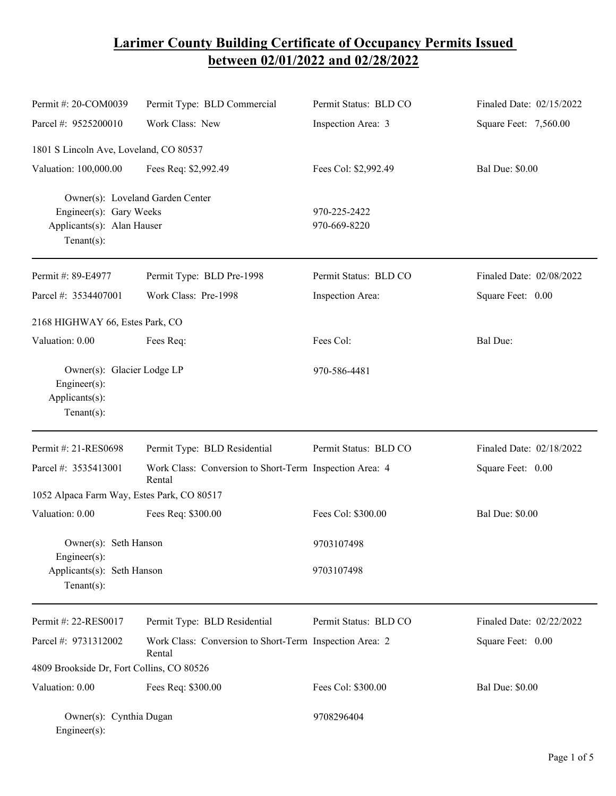## **Larimer County Building Certificate of Occupancy Permits Issued between 02/01/2022 and 02/28/2022**

| Permit #: 20-COM0039                                                                                        | Permit Type: BLD Commercial                                       | Permit Status: BLD CO        | Finaled Date: 02/15/2022 |
|-------------------------------------------------------------------------------------------------------------|-------------------------------------------------------------------|------------------------------|--------------------------|
| Parcel #: 9525200010                                                                                        | Work Class: New                                                   | Inspection Area: 3           | Square Feet: 7,560.00    |
| 1801 S Lincoln Ave, Loveland, CO 80537                                                                      |                                                                   |                              |                          |
| Valuation: 100,000.00                                                                                       | Fees Req: \$2,992.49                                              | Fees Col: \$2,992.49         | <b>Bal Due: \$0.00</b>   |
| Owner(s): Loveland Garden Center<br>Engineer(s): Gary Weeks<br>Applicants(s): Alan Hauser<br>Tenant $(s)$ : |                                                                   | 970-225-2422<br>970-669-8220 |                          |
| Permit #: 89-E4977                                                                                          | Permit Type: BLD Pre-1998                                         | Permit Status: BLD CO        | Finaled Date: 02/08/2022 |
| Parcel #: 3534407001                                                                                        | Work Class: Pre-1998                                              | Inspection Area:             | Square Feet: 0.00        |
| 2168 HIGHWAY 66, Estes Park, CO                                                                             |                                                                   |                              |                          |
| Valuation: 0.00                                                                                             | Fees Req:                                                         | Fees Col:                    | Bal Due:                 |
| Owner(s): Glacier Lodge LP<br>Engineer $(s)$ :<br>Applicants(s):<br>Tenant $(s)$ :                          |                                                                   | 970-586-4481                 |                          |
| Permit #: 21-RES0698                                                                                        | Permit Type: BLD Residential                                      | Permit Status: BLD CO        | Finaled Date: 02/18/2022 |
| Parcel #: 3535413001                                                                                        | Work Class: Conversion to Short-Term Inspection Area: 4<br>Rental |                              | Square Feet: 0.00        |
| 1052 Alpaca Farm Way, Estes Park, CO 80517                                                                  |                                                                   |                              |                          |
| Valuation: 0.00                                                                                             | Fees Req: \$300.00                                                | Fees Col: \$300.00           | <b>Bal Due: \$0.00</b>   |
| Owner(s): Seth Hanson<br>$Engineering(s)$ :                                                                 |                                                                   | 9703107498                   |                          |
| Applicants(s): Seth Hanson<br>Tenant $(s)$ :                                                                |                                                                   | 9703107498                   |                          |
| Permit #: 22-RES0017                                                                                        | Permit Type: BLD Residential                                      | Permit Status: BLD CO        | Finaled Date: 02/22/2022 |
| Parcel #: 9731312002                                                                                        | Work Class: Conversion to Short-Term Inspection Area: 2<br>Rental |                              | Square Feet: 0.00        |
| 4809 Brookside Dr, Fort Collins, CO 80526                                                                   |                                                                   |                              |                          |
| Valuation: 0.00                                                                                             | Fees Req: \$300.00                                                | Fees Col: \$300.00           | <b>Bal Due: \$0.00</b>   |
| Owner(s): Cynthia Dugan<br>$Engineer(s)$ :                                                                  |                                                                   | 9708296404                   |                          |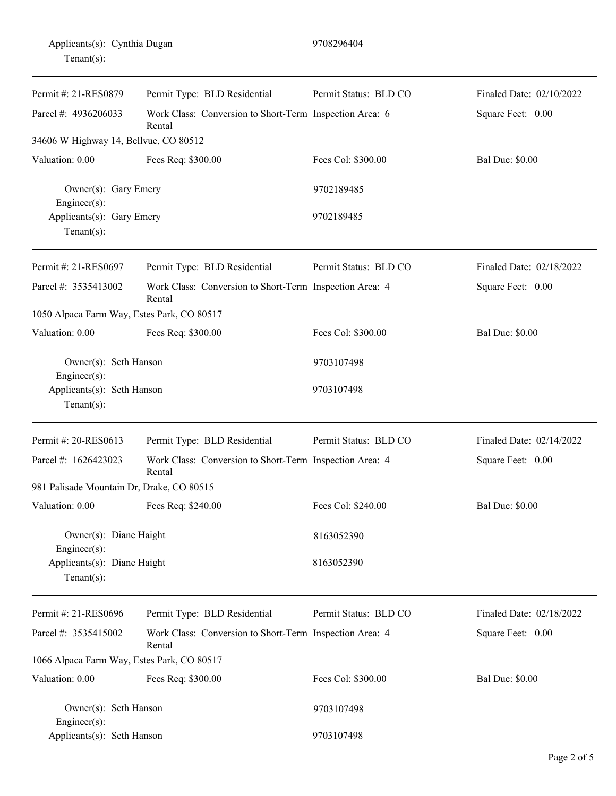|                | Applicants(s): Cynthia Dugan |
|----------------|------------------------------|
| Tenant $(s)$ : |                              |

| Permit #: 21-RES0879                                          | Permit Type: BLD Residential                                      | Permit Status: BLD CO | Finaled Date: 02/10/2022 |
|---------------------------------------------------------------|-------------------------------------------------------------------|-----------------------|--------------------------|
| Parcel #: 4936206033                                          | Work Class: Conversion to Short-Term Inspection Area: 6<br>Rental |                       | Square Feet: 0.00        |
| 34606 W Highway 14, Bellvue, CO 80512                         |                                                                   |                       |                          |
| Valuation: 0.00                                               | Fees Req: \$300.00                                                | Fees Col: \$300.00    | <b>Bal Due: \$0.00</b>   |
| Owner(s): Gary Emery<br>Engineer(s):                          |                                                                   | 9702189485            |                          |
| Applicants(s): Gary Emery<br>Tenant $(s)$ :                   |                                                                   | 9702189485            |                          |
| Permit #: 21-RES0697                                          | Permit Type: BLD Residential                                      | Permit Status: BLD CO | Finaled Date: 02/18/2022 |
| Parcel #: 3535413002                                          | Work Class: Conversion to Short-Term Inspection Area: 4<br>Rental |                       | Square Feet: 0.00        |
| 1050 Alpaca Farm Way, Estes Park, CO 80517                    |                                                                   |                       |                          |
| Valuation: 0.00                                               | Fees Req: \$300.00                                                | Fees Col: \$300.00    | <b>Bal Due: \$0.00</b>   |
| Owner(s): Seth Hanson<br>$Engineering(s)$ :                   |                                                                   | 9703107498            |                          |
| Applicants(s): Seth Hanson<br>Tenant $(s)$ :                  |                                                                   | 9703107498            |                          |
| Permit #: 20-RES0613                                          | Permit Type: BLD Residential                                      | Permit Status: BLD CO | Finaled Date: 02/14/2022 |
| Parcel #: 1626423023                                          | Work Class: Conversion to Short-Term Inspection Area: 4<br>Rental |                       | Square Feet: 0.00        |
| 981 Palisade Mountain Dr, Drake, CO 80515                     |                                                                   |                       |                          |
| Valuation: 0.00                                               | Fees Req: \$240.00                                                | Fees Col: \$240.00    | <b>Bal Due: \$0.00</b>   |
| Owner(s): Diane Haight                                        |                                                                   | 8163052390            |                          |
| Engineer(s):<br>Applicants(s): Diane Haight<br>Tenant $(s)$ : |                                                                   | 8163052390            |                          |
| Permit #: 21-RES0696                                          | Permit Type: BLD Residential                                      | Permit Status: BLD CO | Finaled Date: 02/18/2022 |
| Parcel #: 3535415002                                          | Work Class: Conversion to Short-Term Inspection Area: 4<br>Rental |                       | Square Feet: 0.00        |
| 1066 Alpaca Farm Way, Estes Park, CO 80517                    |                                                                   |                       |                          |
| Valuation: 0.00                                               | Fees Req: \$300.00                                                | Fees Col: \$300.00    | <b>Bal Due: \$0.00</b>   |
| Owner(s): Seth Hanson<br>$Engineer(s)$ :                      |                                                                   | 9703107498            |                          |
| Applicants(s): Seth Hanson                                    |                                                                   | 9703107498            |                          |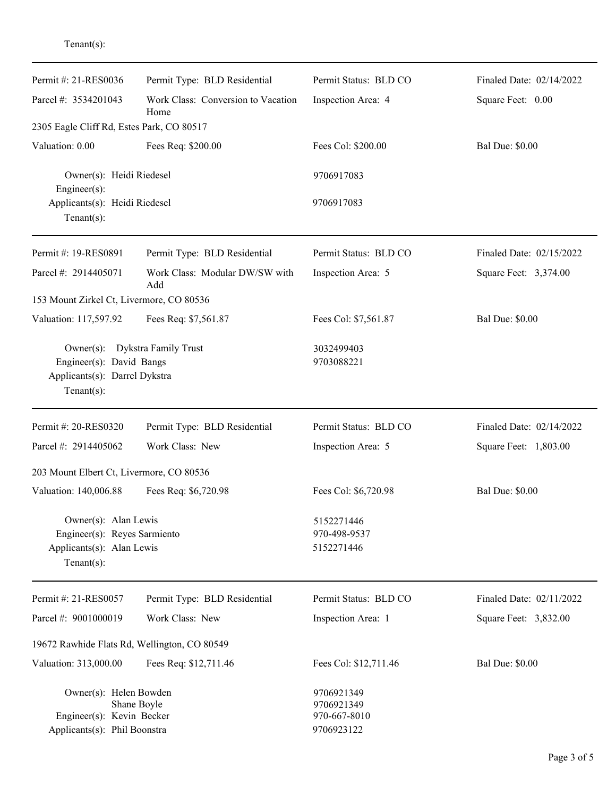Tenant(s):

| Permit #: 21-RES0036                                                                                          | Permit Type: BLD Residential               | Permit Status: BLD CO                                  | Finaled Date: 02/14/2022 |
|---------------------------------------------------------------------------------------------------------------|--------------------------------------------|--------------------------------------------------------|--------------------------|
| Parcel #: 3534201043                                                                                          | Work Class: Conversion to Vacation<br>Home | Inspection Area: 4                                     | Square Feet: 0.00        |
| 2305 Eagle Cliff Rd, Estes Park, CO 80517                                                                     |                                            |                                                        |                          |
| Valuation: 0.00                                                                                               | Fees Req: \$200.00                         | Fees Col: \$200.00                                     | <b>Bal Due: \$0.00</b>   |
| Owner(s): Heidi Riedesel<br>Engineer(s):                                                                      |                                            | 9706917083<br>9706917083                               |                          |
| Applicants(s): Heidi Riedesel<br>Tenant $(s)$ :                                                               |                                            |                                                        |                          |
| Permit #: 19-RES0891                                                                                          | Permit Type: BLD Residential               | Permit Status: BLD CO                                  | Finaled Date: 02/15/2022 |
| Parcel #: 2914405071                                                                                          | Work Class: Modular DW/SW with<br>Add      | Inspection Area: 5                                     | Square Feet: 3,374.00    |
| 153 Mount Zirkel Ct, Livermore, CO 80536                                                                      |                                            |                                                        |                          |
| Valuation: 117,597.92                                                                                         | Fees Req: \$7,561.87                       | Fees Col: \$7,561.87                                   | <b>Bal Due: \$0.00</b>   |
| Owner(s): Dykstra Family Trust<br>Engineer(s): David Bangs<br>Applicants(s): Darrel Dykstra<br>Tenant $(s)$ : |                                            | 3032499403<br>9703088221                               |                          |
| Permit #: 20-RES0320                                                                                          | Permit Type: BLD Residential               | Permit Status: BLD CO                                  | Finaled Date: 02/14/2022 |
| Parcel #: 2914405062                                                                                          | Work Class: New                            | Inspection Area: 5                                     | Square Feet: 1,803.00    |
| 203 Mount Elbert Ct, Livermore, CO 80536                                                                      |                                            |                                                        |                          |
| Valuation: 140,006.88                                                                                         | Fees Req: \$6,720.98                       | Fees Col: \$6,720.98                                   | <b>Bal Due: \$0.00</b>   |
| Owner(s): Alan Lewis<br>Engineer(s): Reyes Sarmiento<br>Applicants(s): Alan Lewis<br>Tenant $(s)$ :           |                                            | 5152271446<br>970-498-9537<br>5152271446               |                          |
| Permit #: 21-RES0057                                                                                          | Permit Type: BLD Residential               | Permit Status: BLD CO                                  | Finaled Date: 02/11/2022 |
| Parcel #: 9001000019                                                                                          | Work Class: New                            | Inspection Area: 1                                     | Square Feet: 3,832.00    |
| 19672 Rawhide Flats Rd, Wellington, CO 80549                                                                  |                                            |                                                        |                          |
| Valuation: 313,000.00                                                                                         | Fees Req: \$12,711.46                      | Fees Col: \$12,711.46                                  | <b>Bal Due: \$0.00</b>   |
| Owner(s): Helen Bowden<br>Shane Boyle<br>Engineer(s): Kevin Becker<br>Applicants(s): Phil Boonstra            |                                            | 9706921349<br>9706921349<br>970-667-8010<br>9706923122 |                          |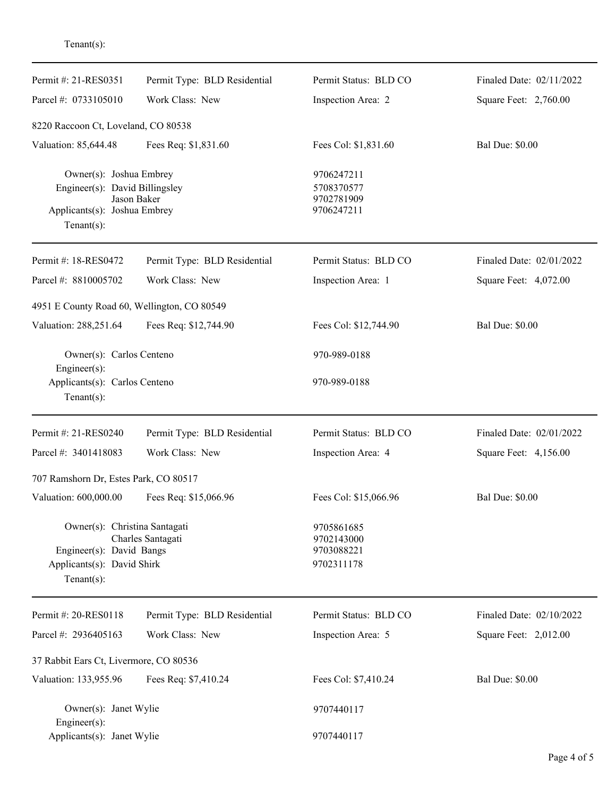Tenant(s):

| Permit #: 21-RES0351                                                                                        | Permit Type: BLD Residential | Permit Status: BLD CO                                | Finaled Date: 02/11/2022 |
|-------------------------------------------------------------------------------------------------------------|------------------------------|------------------------------------------------------|--------------------------|
| Parcel #: 0733105010                                                                                        | Work Class: New              | Inspection Area: 2                                   | Square Feet: 2,760.00    |
| 8220 Raccoon Ct, Loveland, CO 80538                                                                         |                              |                                                      |                          |
| Valuation: 85,644.48                                                                                        | Fees Req: \$1,831.60         | Fees Col: \$1,831.60                                 | <b>Bal Due: \$0.00</b>   |
| Owner(s): Joshua Embrey<br>Engineer(s): David Billingsley<br>Applicants(s): Joshua Embrey<br>Tenant $(s)$ : | Jason Baker                  | 9706247211<br>5708370577<br>9702781909<br>9706247211 |                          |
| Permit #: 18-RES0472                                                                                        | Permit Type: BLD Residential | Permit Status: BLD CO                                | Finaled Date: 02/01/2022 |
| Parcel #: 8810005702                                                                                        | Work Class: New              | Inspection Area: 1                                   | Square Feet: 4,072.00    |
| 4951 E County Road 60, Wellington, CO 80549                                                                 |                              |                                                      |                          |
| Valuation: 288,251.64                                                                                       | Fees Req: \$12,744.90        | Fees Col: \$12,744.90                                | <b>Bal Due: \$0.00</b>   |
| Owner(s): Carlos Centeno<br>Engineer(s):                                                                    |                              | 970-989-0188                                         |                          |
| Applicants(s): Carlos Centeno<br>Tenant $(s)$ :                                                             |                              | 970-989-0188                                         |                          |
| Permit #: 21-RES0240                                                                                        | Permit Type: BLD Residential | Permit Status: BLD CO                                | Finaled Date: 02/01/2022 |
| Parcel #: 3401418083                                                                                        | Work Class: New              | Inspection Area: 4                                   | Square Feet: 4,156.00    |
| 707 Ramshorn Dr, Estes Park, CO 80517                                                                       |                              |                                                      |                          |
| Valuation: 600,000.00                                                                                       | Fees Req: \$15,066.96        | Fees Col: \$15,066.96                                | <b>Bal Due: \$0.00</b>   |
| Owner(s): Christina Santagati<br>Engineer(s): David Bangs<br>Applicants(s): David Shirk<br>Tenant $(s)$ :   | Charles Santagati            | 9705861685<br>9702143000<br>9703088221<br>9702311178 |                          |
| Permit #: 20-RES0118                                                                                        | Permit Type: BLD Residential | Permit Status: BLD CO                                | Finaled Date: 02/10/2022 |
| Parcel #: 2936405163                                                                                        | Work Class: New              | Inspection Area: 5                                   | Square Feet: 2,012.00    |
| 37 Rabbit Ears Ct, Livermore, CO 80536                                                                      |                              |                                                      |                          |
| Valuation: 133,955.96                                                                                       | Fees Req: \$7,410.24         | Fees Col: \$7,410.24                                 | <b>Bal Due: \$0.00</b>   |
| Owner(s): Janet Wylie<br>Engineer(s):                                                                       |                              | 9707440117                                           |                          |
| Applicants(s): Janet Wylie                                                                                  |                              | 9707440117                                           |                          |